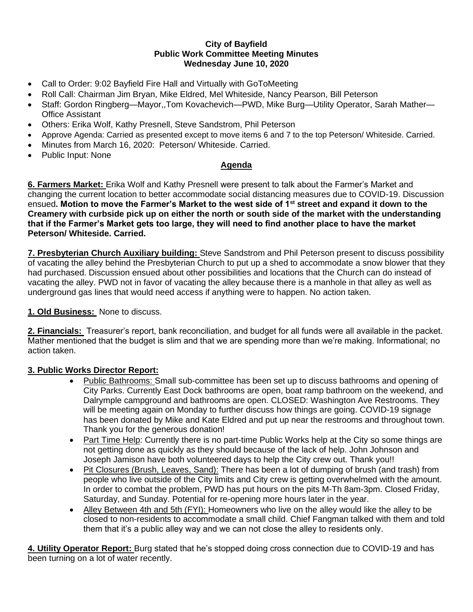## **City of Bayfield Public Work Committee Meeting Minutes Wednesday June 10, 2020**

- Call to Order: 9:02 Bayfield Fire Hall and Virtually with GoToMeeting
- Roll Call: Chairman Jim Bryan, Mike Eldred, Mel Whiteside, Nancy Pearson, Bill Peterson
- Staff: Gordon Ringberg—Mayor,,Tom Kovachevich—PWD, Mike Burg—Utility Operator, Sarah Mather— Office Assistant
- Others: Erika Wolf, Kathy Presnell, Steve Sandstrom, Phil Peterson
- Approve Agenda: Carried as presented except to move items 6 and 7 to the top Peterson/ Whiteside. Carried.
- Minutes from March 16, 2020: Peterson/ Whiteside. Carried.
- Public Input: None

## **Agenda**

**6. Farmers Market:** Erika Wolf and Kathy Presnell were present to talk about the Farmer's Market and changing the current location to better accommodate social distancing measures due to COVID-19. Discussion ensued**. Motion to move the Farmer's Market to the west side of 1st street and expand it down to the Creamery with curbside pick up on either the north or south side of the market with the understanding that if the Farmer's Market gets too large, they will need to find another place to have the market Peterson/ Whiteside. Carried.** 

**7. Presbyterian Church Auxiliary building:** Steve Sandstrom and Phil Peterson present to discuss possibility of vacating the alley behind the Presbyterian Church to put up a shed to accommodate a snow blower that they had purchased. Discussion ensued about other possibilities and locations that the Church can do instead of vacating the alley. PWD not in favor of vacating the alley because there is a manhole in that alley as well as underground gas lines that would need access if anything were to happen. No action taken.

## **1. Old Business:** None to discuss.

**2. Financials:** Treasurer's report, bank reconciliation, and budget for all funds were all available in the packet. Mather mentioned that the budget is slim and that we are spending more than we're making. Informational; no action taken.

## **3. Public Works Director Report:**

- Public Bathrooms: Small sub-committee has been set up to discuss bathrooms and opening of City Parks. Currently East Dock bathrooms are open, boat ramp bathroom on the weekend, and Dalrymple campground and bathrooms are open. CLOSED: Washington Ave Restrooms. They will be meeting again on Monday to further discuss how things are going. COVID-19 signage has been donated by Mike and Kate Eldred and put up near the restrooms and throughout town. Thank you for the generous donation!
- Part Time Help: Currently there is no part-time Public Works help at the City so some things are not getting done as quickly as they should because of the lack of help. John Johnson and Joseph Jamison have both volunteered days to help the City crew out. Thank you!!
- Pit Closures (Brush, Leaves, Sand): There has been a lot of dumping of brush (and trash) from people who live outside of the City limits and City crew is getting overwhelmed with the amount. In order to combat the problem, PWD has put hours on the pits M-Th 8am-3pm. Closed Friday, Saturday, and Sunday. Potential for re-opening more hours later in the year.
- Alley Between 4th and 5th (FYI): Homeowners who live on the alley would like the alley to be closed to non-residents to accommodate a small child. Chief Fangman talked with them and told them that it's a public alley way and we can not close the alley to residents only.

**4. Utility Operator Report:** Burg stated that he's stopped doing cross connection due to COVID-19 and has been turning on a lot of water recently.